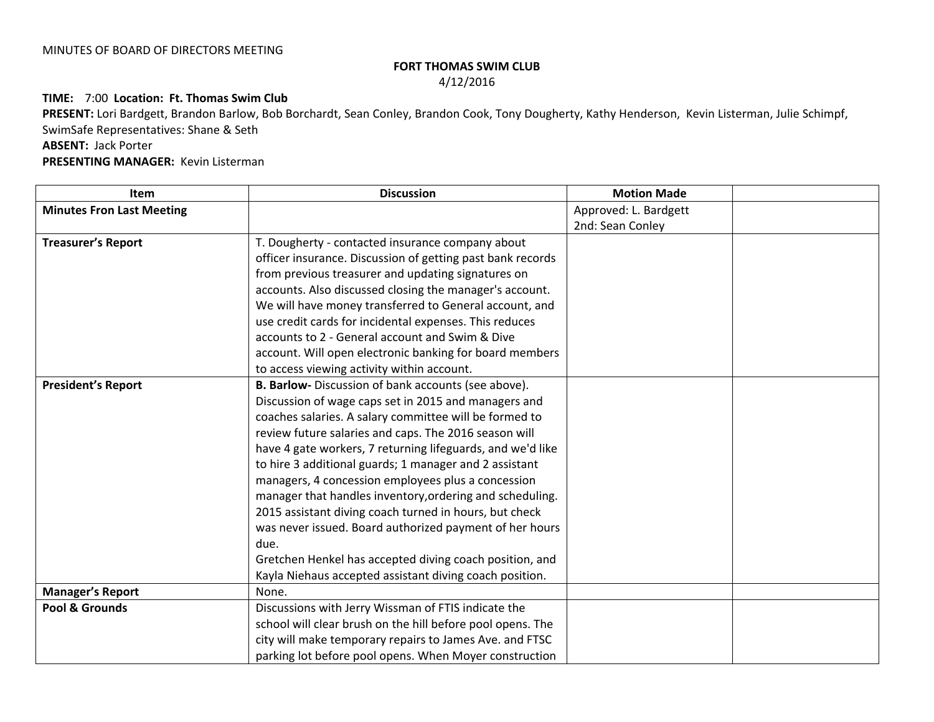## **FORT THOMAS SWIM CLUB** 4/12/2016

## **TIME:** 7:00 **Location: Ft. Thomas Swim Club**

**PRESENT:** Lori Bardgett, Brandon Barlow, Bob Borchardt, Sean Conley, Brandon Cook, Tony Dougherty, Kathy Henderson, Kevin Listerman, Julie Schimpf, SwimSafe Representatives: Shane & Seth **ABSENT:** Jack Porter

**PRESENTING MANAGER:** Kevin Listerman

| <b>Item</b>                      | <b>Discussion</b>                                          | <b>Motion Made</b>    |  |
|----------------------------------|------------------------------------------------------------|-----------------------|--|
| <b>Minutes Fron Last Meeting</b> |                                                            | Approved: L. Bardgett |  |
|                                  |                                                            | 2nd: Sean Conley      |  |
| <b>Treasurer's Report</b>        | T. Dougherty - contacted insurance company about           |                       |  |
|                                  | officer insurance. Discussion of getting past bank records |                       |  |
|                                  | from previous treasurer and updating signatures on         |                       |  |
|                                  | accounts. Also discussed closing the manager's account.    |                       |  |
|                                  | We will have money transferred to General account, and     |                       |  |
|                                  | use credit cards for incidental expenses. This reduces     |                       |  |
|                                  | accounts to 2 - General account and Swim & Dive            |                       |  |
|                                  | account. Will open electronic banking for board members    |                       |  |
|                                  | to access viewing activity within account.                 |                       |  |
| <b>President's Report</b>        | B. Barlow- Discussion of bank accounts (see above).        |                       |  |
|                                  | Discussion of wage caps set in 2015 and managers and       |                       |  |
|                                  | coaches salaries. A salary committee will be formed to     |                       |  |
|                                  | review future salaries and caps. The 2016 season will      |                       |  |
|                                  | have 4 gate workers, 7 returning lifeguards, and we'd like |                       |  |
|                                  | to hire 3 additional guards; 1 manager and 2 assistant     |                       |  |
|                                  | managers, 4 concession employees plus a concession         |                       |  |
|                                  | manager that handles inventory, ordering and scheduling.   |                       |  |
|                                  | 2015 assistant diving coach turned in hours, but check     |                       |  |
|                                  | was never issued. Board authorized payment of her hours    |                       |  |
|                                  | due.                                                       |                       |  |
|                                  | Gretchen Henkel has accepted diving coach position, and    |                       |  |
|                                  | Kayla Niehaus accepted assistant diving coach position.    |                       |  |
| <b>Manager's Report</b>          | None.                                                      |                       |  |
| Pool & Grounds                   | Discussions with Jerry Wissman of FTIS indicate the        |                       |  |
|                                  | school will clear brush on the hill before pool opens. The |                       |  |
|                                  | city will make temporary repairs to James Ave. and FTSC    |                       |  |
|                                  | parking lot before pool opens. When Moyer construction     |                       |  |